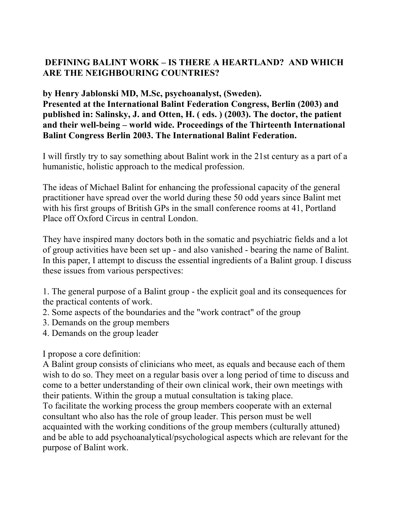# **DEFINING BALINT WORK – IS THERE A HEARTLAND? AND WHICH ARE THE NEIGHBOURING COUNTRIES?**

**by Henry Jablonski MD, M.Sc, psychoanalyst, (Sweden). Presented at the International Balint Federation Congress, Berlin (2003) and published in: Salinsky, J. and Otten, H. ( eds. ) (2003). The doctor, the patient and their well-being – world wide. Proceedings of the Thirteenth International Balint Congress Berlin 2003. The International Balint Federation.** 

I will firstly try to say something about Balint work in the 21st century as a part of a humanistic, holistic approach to the medical profession.

The ideas of Michael Balint for enhancing the professional capacity of the general practitioner have spread over the world during these 50 odd years since Balint met with his first groups of British GPs in the small conference rooms at 41, Portland Place off Oxford Circus in central London.

They have inspired many doctors both in the somatic and psychiatric fields and a lot of group activities have been set up - and also vanished - bearing the name of Balint. In this paper, I attempt to discuss the essential ingredients of a Balint group. I discuss these issues from various perspectives:

1. The general purpose of a Balint group - the explicit goal and its consequences for the practical contents of work.

- 2. Some aspects of the boundaries and the "work contract" of the group
- 3. Demands on the group members
- 4. Demands on the group leader

I propose a core definition:

A Balint group consists of clinicians who meet, as equals and because each of them wish to do so. They meet on a regular basis over a long period of time to discuss and come to a better understanding of their own clinical work, their own meetings with their patients. Within the group a mutual consultation is taking place.

To facilitate the working process the group members cooperate with an external consultant who also has the role of group leader. This person must be well acquainted with the working conditions of the group members (culturally attuned) and be able to add psychoanalytical/psychological aspects which are relevant for the purpose of Balint work.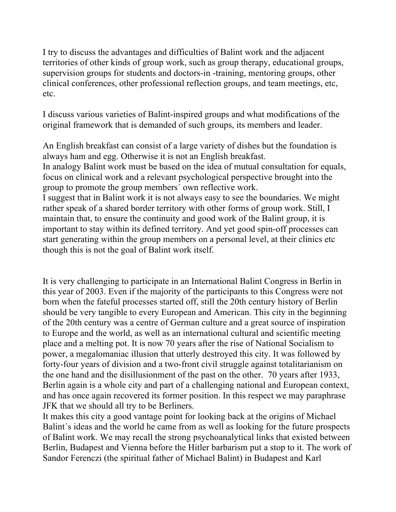I try to discuss the advantages and difficulties of Balint work and the adjacent territories of other kinds of group work, such as group therapy, educational groups, supervision groups for students and doctors-in -training, mentoring groups, other clinical conferences, other professional reflection groups, and team meetings, etc, etc.

I discuss various varieties of Balint-inspired groups and what modifications of the original framework that is demanded of such groups, its members and leader.

An English breakfast can consist of a large variety of dishes but the foundation is always ham and egg. Otherwise it is not an English breakfast.

In analogy Balint work must be based on the idea of mutual consultation for equals, focus on clinical work and a relevant psychological perspective brought into the group to promote the group members´ own reflective work.

I suggest that in Balint work it is not always easy to see the boundaries. We might rather speak of a shared border territory with other forms of group work. Still, I maintain that, to ensure the continuity and good work of the Balint group, it is important to stay within its defined territory. And yet good spin-off processes can start generating within the group members on a personal level, at their clinics etc though this is not the goal of Balint work itself.

It is very challenging to participate in an International Balint Congress in Berlin in this year of 2003. Even if the majority of the participants to this Congress were not born when the fateful processes started off, still the 20th century history of Berlin should be very tangible to every European and American. This city in the beginning of the 20th century was a centre of German culture and a great source of inspiration to Europe and the world, as well as an international cultural and scientific meeting place and a melting pot. It is now 70 years after the rise of National Socialism to power, a megalomaniac illusion that utterly destroyed this city. It was followed by forty-four years of division and a two-front civil struggle against totalitarianism on the one hand and the disillusionment of the past on the other. 70 years after 1933, Berlin again is a whole city and part of a challenging national and European context, and has once again recovered its former position. In this respect we may paraphrase JFK that we should all try to be Berliners.

It makes this city a good vantage point for looking back at the origins of Michael Balint´s ideas and the world he came from as well as looking for the future prospects of Balint work. We may recall the strong psychoanalytical links that existed between Berlin, Budapest and Vienna before the Hitler barbarism put a stop to it. The work of Sandor Ferenczi (the spiritual father of Michael Balint) in Budapest and Karl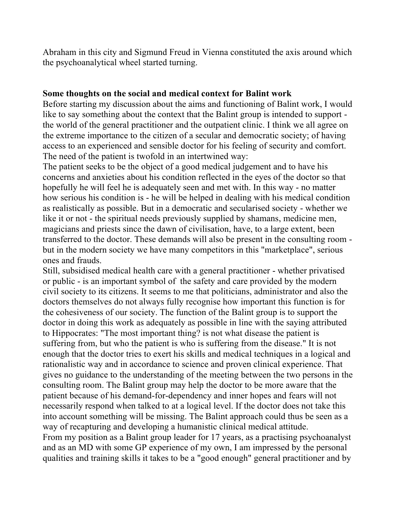Abraham in this city and Sigmund Freud in Vienna constituted the axis around which the psychoanalytical wheel started turning.

#### **Some thoughts on the social and medical context for Balint work**

Before starting my discussion about the aims and functioning of Balint work, I would like to say something about the context that the Balint group is intended to support the world of the general practitioner and the outpatient clinic. I think we all agree on the extreme importance to the citizen of a secular and democratic society; of having access to an experienced and sensible doctor for his feeling of security and comfort. The need of the patient is twofold in an intertwined way:

The patient seeks to be the object of a good medical judgement and to have his concerns and anxieties about his condition reflected in the eyes of the doctor so that hopefully he will feel he is adequately seen and met with. In this way - no matter how serious his condition is - he will be helped in dealing with his medical condition as realistically as possible. But in a democratic and secularised society - whether we like it or not - the spiritual needs previously supplied by shamans, medicine men, magicians and priests since the dawn of civilisation, have, to a large extent, been transferred to the doctor. These demands will also be present in the consulting room but in the modern society we have many competitors in this "marketplace", serious ones and frauds.

Still, subsidised medical health care with a general practitioner - whether privatised or public - is an important symbol of the safety and care provided by the modern civil society to its citizens. It seems to me that politicians, administrator and also the doctors themselves do not always fully recognise how important this function is for the cohesiveness of our society. The function of the Balint group is to support the doctor in doing this work as adequately as possible in line with the saying attributed to Hippocrates: "The most important thing? is not what disease the patient is suffering from, but who the patient is who is suffering from the disease." It is not enough that the doctor tries to exert his skills and medical techniques in a logical and rationalistic way and in accordance to science and proven clinical experience. That gives no guidance to the understanding of the meeting between the two persons in the consulting room. The Balint group may help the doctor to be more aware that the patient because of his demand-for-dependency and inner hopes and fears will not necessarily respond when talked to at a logical level. If the doctor does not take this into account something will be missing. The Balint approach could thus be seen as a way of recapturing and developing a humanistic clinical medical attitude. From my position as a Balint group leader for 17 years, as a practising psychoanalyst and as an MD with some GP experience of my own, I am impressed by the personal qualities and training skills it takes to be a "good enough" general practitioner and by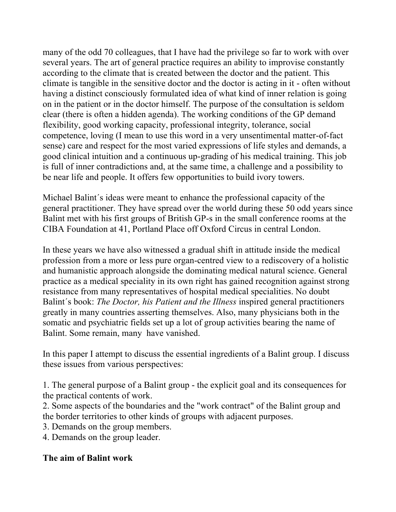many of the odd 70 colleagues, that I have had the privilege so far to work with over several years. The art of general practice requires an ability to improvise constantly according to the climate that is created between the doctor and the patient. This climate is tangible in the sensitive doctor and the doctor is acting in it - often without having a distinct consciously formulated idea of what kind of inner relation is going on in the patient or in the doctor himself. The purpose of the consultation is seldom clear (there is often a hidden agenda). The working conditions of the GP demand flexibility, good working capacity, professional integrity, tolerance, social competence, loving (I mean to use this word in a very unsentimental matter-of-fact sense) care and respect for the most varied expressions of life styles and demands, a good clinical intuition and a continuous up-grading of his medical training. This job is full of inner contradictions and, at the same time, a challenge and a possibility to be near life and people. It offers few opportunities to build ivory towers.

Michael Balint´s ideas were meant to enhance the professional capacity of the general practitioner. They have spread over the world during these 50 odd years since Balint met with his first groups of British GP-s in the small conference rooms at the CIBA Foundation at 41, Portland Place off Oxford Circus in central London.

In these years we have also witnessed a gradual shift in attitude inside the medical profession from a more or less pure organ-centred view to a rediscovery of a holistic and humanistic approach alongside the dominating medical natural science. General practice as a medical speciality in its own right has gained recognition against strong resistance from many representatives of hospital medical specialities. No doubt Balint´s book: *The Doctor, his Patient and the Illness* inspired general practitioners greatly in many countries asserting themselves. Also, many physicians both in the somatic and psychiatric fields set up a lot of group activities bearing the name of Balint. Some remain, many have vanished.

In this paper I attempt to discuss the essential ingredients of a Balint group. I discuss these issues from various perspectives:

1. The general purpose of a Balint group - the explicit goal and its consequences for the practical contents of work.

2. Some aspects of the boundaries and the "work contract" of the Balint group and the border territories to other kinds of groups with adjacent purposes.

3. Demands on the group members.

4. Demands on the group leader.

#### **The aim of Balint work**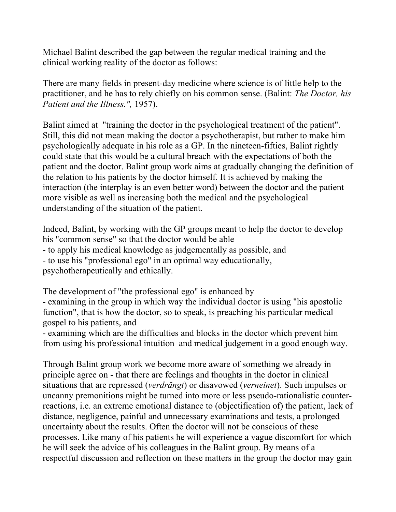Michael Balint described the gap between the regular medical training and the clinical working reality of the doctor as follows:

There are many fields in present-day medicine where science is of little help to the practitioner, and he has to rely chiefly on his common sense. (Balint: *The Doctor, his Patient and the Illness.",* 1957).

Balint aimed at "training the doctor in the psychological treatment of the patient". Still, this did not mean making the doctor a psychotherapist, but rather to make him psychologically adequate in his role as a GP. In the nineteen-fifties, Balint rightly could state that this would be a cultural breach with the expectations of both the patient and the doctor. Balint group work aims at gradually changing the definition of the relation to his patients by the doctor himself. It is achieved by making the interaction (the interplay is an even better word) between the doctor and the patient more visible as well as increasing both the medical and the psychological understanding of the situation of the patient.

Indeed, Balint, by working with the GP groups meant to help the doctor to develop his "common sense" so that the doctor would be able - to apply his medical knowledge as judgementally as possible, and - to use his "professional ego" in an optimal way educationally, psychotherapeutically and ethically.

The development of "the professional ego" is enhanced by - examining in the group in which way the individual doctor is using "his apostolic function", that is how the doctor, so to speak, is preaching his particular medical gospel to his patients, and

- examining which are the difficulties and blocks in the doctor which prevent him from using his professional intuition and medical judgement in a good enough way.

Through Balint group work we become more aware of something we already in principle agree on - that there are feelings and thoughts in the doctor in clinical situations that are repressed (*verdrängt*) or disavowed (*verneinet*). Such impulses or uncanny premonitions might be turned into more or less pseudo-rationalistic counterreactions, i.e. an extreme emotional distance to (objectification of) the patient, lack of distance, negligence, painful and unnecessary examinations and tests, a prolonged uncertainty about the results. Often the doctor will not be conscious of these processes. Like many of his patients he will experience a vague discomfort for which he will seek the advice of his colleagues in the Balint group. By means of a respectful discussion and reflection on these matters in the group the doctor may gain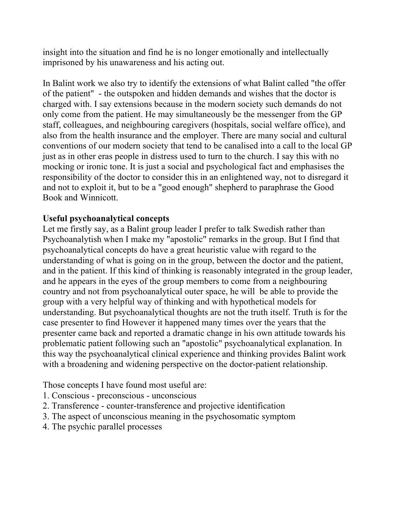insight into the situation and find he is no longer emotionally and intellectually imprisoned by his unawareness and his acting out.

In Balint work we also try to identify the extensions of what Balint called "the offer of the patient" - the outspoken and hidden demands and wishes that the doctor is charged with. I say extensions because in the modern society such demands do not only come from the patient. He may simultaneously be the messenger from the GP staff, colleagues, and neighbouring caregivers (hospitals, social welfare office), and also from the health insurance and the employer. There are many social and cultural conventions of our modern society that tend to be canalised into a call to the local GP just as in other eras people in distress used to turn to the church. I say this with no mocking or ironic tone. It is just a social and psychological fact and emphasises the responsibility of the doctor to consider this in an enlightened way, not to disregard it and not to exploit it, but to be a "good enough" shepherd to paraphrase the Good Book and Winnicott.

# **Useful psychoanalytical concepts**

Let me firstly say, as a Balint group leader I prefer to talk Swedish rather than Psychoanalytish when I make my "apostolic" remarks in the group. But I find that psychoanalytical concepts do have a great heuristic value with regard to the understanding of what is going on in the group, between the doctor and the patient, and in the patient. If this kind of thinking is reasonably integrated in the group leader, and he appears in the eyes of the group members to come from a neighbouring country and not from psychoanalytical outer space, he will be able to provide the group with a very helpful way of thinking and with hypothetical models for understanding. But psychoanalytical thoughts are not the truth itself. Truth is for the case presenter to find However it happened many times over the years that the presenter came back and reported a dramatic change in his own attitude towards his problematic patient following such an "apostolic" psychoanalytical explanation. In this way the psychoanalytical clinical experience and thinking provides Balint work with a broadening and widening perspective on the doctor-patient relationship.

Those concepts I have found most useful are:

- 1. Conscious preconscious unconscious
- 2. Transference counter-transference and projective identification
- 3. The aspect of unconscious meaning in the psychosomatic symptom
- 4. The psychic parallel processes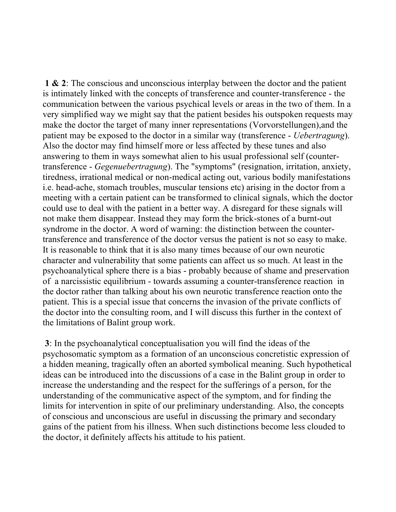**1 & 2**: The conscious and unconscious interplay between the doctor and the patient is intimately linked with the concepts of transference and counter-transference - the communication between the various psychical levels or areas in the two of them. In a very simplified way we might say that the patient besides his outspoken requests may make the doctor the target of many inner representations (Vorvorstellungen),and the patient may be exposed to the doctor in a similar way (transference - *Uebertragung*). Also the doctor may find himself more or less affected by these tunes and also answering to them in ways somewhat alien to his usual professional self (countertransference - *Gegenuebertragung*). The "symptoms" (resignation, irritation, anxiety, tiredness, irrational medical or non-medical acting out, various bodily manifestations i.e. head-ache, stomach troubles, muscular tensions etc) arising in the doctor from a meeting with a certain patient can be transformed to clinical signals, which the doctor could use to deal with the patient in a better way. A disregard for these signals will not make them disappear. Instead they may form the brick-stones of a burnt-out syndrome in the doctor. A word of warning: the distinction between the countertransference and transference of the doctor versus the patient is not so easy to make. It is reasonable to think that it is also many times because of our own neurotic character and vulnerability that some patients can affect us so much. At least in the psychoanalytical sphere there is a bias - probably because of shame and preservation of a narcissistic equilibrium - towards assuming a counter-transference reaction in the doctor rather than talking about his own neurotic transference reaction onto the patient. This is a special issue that concerns the invasion of the private conflicts of the doctor into the consulting room, and I will discuss this further in the context of the limitations of Balint group work.

 **3**: In the psychoanalytical conceptualisation you will find the ideas of the psychosomatic symptom as a formation of an unconscious concretistic expression of a hidden meaning, tragically often an aborted symbolical meaning. Such hypothetical ideas can be introduced into the discussions of a case in the Balint group in order to increase the understanding and the respect for the sufferings of a person, for the understanding of the communicative aspect of the symptom, and for finding the limits for intervention in spite of our preliminary understanding. Also, the concepts of conscious and unconscious are useful in discussing the primary and secondary gains of the patient from his illness. When such distinctions become less clouded to the doctor, it definitely affects his attitude to his patient.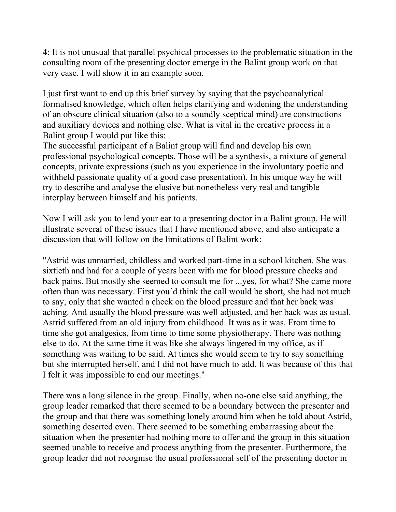**4**: It is not unusual that parallel psychical processes to the problematic situation in the consulting room of the presenting doctor emerge in the Balint group work on that very case. I will show it in an example soon.

I just first want to end up this brief survey by saying that the psychoanalytical formalised knowledge, which often helps clarifying and widening the understanding of an obscure clinical situation (also to a soundly sceptical mind) are constructions and auxiliary devices and nothing else. What is vital in the creative process in a Balint group I would put like this:

The successful participant of a Balint group will find and develop his own professional psychological concepts. Those will be a synthesis, a mixture of general concepts, private expressions (such as you experience in the involuntary poetic and withheld passionate quality of a good case presentation). In his unique way he will try to describe and analyse the elusive but nonetheless very real and tangible interplay between himself and his patients.

Now I will ask you to lend your ear to a presenting doctor in a Balint group. He will illustrate several of these issues that I have mentioned above, and also anticipate a discussion that will follow on the limitations of Balint work:

"Astrid was unmarried, childless and worked part-time in a school kitchen. She was sixtieth and had for a couple of years been with me for blood pressure checks and back pains. But mostly she seemed to consult me for ...yes, for what? She came more often than was necessary. First you´d think the call would be short, she had not much to say, only that she wanted a check on the blood pressure and that her back was aching. And usually the blood pressure was well adjusted, and her back was as usual. Astrid suffered from an old injury from childhood. It was as it was. From time to time she got analgesics, from time to time some physiotherapy. There was nothing else to do. At the same time it was like she always lingered in my office, as if something was waiting to be said. At times she would seem to try to say something but she interrupted herself, and I did not have much to add. It was because of this that I felt it was impossible to end our meetings."

There was a long silence in the group. Finally, when no-one else said anything, the group leader remarked that there seemed to be a boundary between the presenter and the group and that there was something lonely around him when he told about Astrid, something deserted even. There seemed to be something embarrassing about the situation when the presenter had nothing more to offer and the group in this situation seemed unable to receive and process anything from the presenter. Furthermore, the group leader did not recognise the usual professional self of the presenting doctor in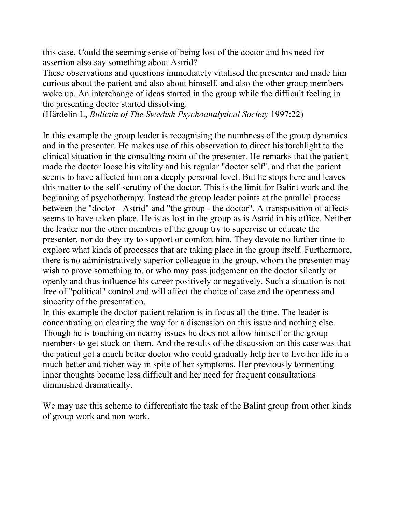this case. Could the seeming sense of being lost of the doctor and his need for assertion also say something about Astrid?

These observations and questions immediately vitalised the presenter and made him curious about the patient and also about himself, and also the other group members woke up. An interchange of ideas started in the group while the difficult feeling in the presenting doctor started dissolving.

(Härdelin L, *Bulletin of The Swedish Psychoanalytical Society* 1997:22)

In this example the group leader is recognising the numbness of the group dynamics and in the presenter. He makes use of this observation to direct his torchlight to the clinical situation in the consulting room of the presenter. He remarks that the patient made the doctor loose his vitality and his regular "doctor self", and that the patient seems to have affected him on a deeply personal level. But he stops here and leaves this matter to the self-scrutiny of the doctor. This is the limit for Balint work and the beginning of psychotherapy. Instead the group leader points at the parallel process between the "doctor - Astrid" and "the group - the doctor". A transposition of affects seems to have taken place. He is as lost in the group as is Astrid in his office. Neither the leader nor the other members of the group try to supervise or educate the presenter, nor do they try to support or comfort him. They devote no further time to explore what kinds of processes that are taking place in the group itself. Furthermore, there is no administratively superior colleague in the group, whom the presenter may wish to prove something to, or who may pass judgement on the doctor silently or openly and thus influence his career positively or negatively. Such a situation is not free of "political" control and will affect the choice of case and the openness and sincerity of the presentation.

In this example the doctor-patient relation is in focus all the time. The leader is concentrating on clearing the way for a discussion on this issue and nothing else. Though he is touching on nearby issues he does not allow himself or the group members to get stuck on them. And the results of the discussion on this case was that the patient got a much better doctor who could gradually help her to live her life in a much better and richer way in spite of her symptoms. Her previously tormenting inner thoughts became less difficult and her need for frequent consultations diminished dramatically.

We may use this scheme to differentiate the task of the Balint group from other kinds of group work and non-work.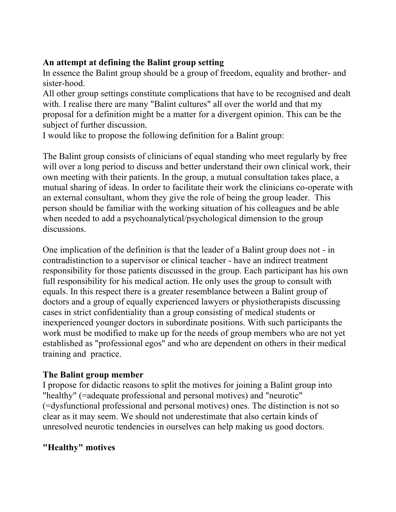# **An attempt at defining the Balint group setting**

In essence the Balint group should be a group of freedom, equality and brother- and sister-hood.

All other group settings constitute complications that have to be recognised and dealt with. I realise there are many "Balint cultures" all over the world and that my proposal for a definition might be a matter for a divergent opinion. This can be the subject of further discussion.

I would like to propose the following definition for a Balint group:

The Balint group consists of clinicians of equal standing who meet regularly by free will over a long period to discuss and better understand their own clinical work, their own meeting with their patients. In the group, a mutual consultation takes place, a mutual sharing of ideas. In order to facilitate their work the clinicians co-operate with an external consultant, whom they give the role of being the group leader. This person should be familiar with the working situation of his colleagues and be able when needed to add a psychoanalytical/psychological dimension to the group discussions.

One implication of the definition is that the leader of a Balint group does not - in contradistinction to a supervisor or clinical teacher - have an indirect treatment responsibility for those patients discussed in the group. Each participant has his own full responsibility for his medical action. He only uses the group to consult with equals. In this respect there is a greater resemblance between a Balint group of doctors and a group of equally experienced lawyers or physiotherapists discussing cases in strict confidentiality than a group consisting of medical students or inexperienced younger doctors in subordinate positions. With such participants the work must be modified to make up for the needs of group members who are not yet established as "professional egos" and who are dependent on others in their medical training and practice.

# **The Balint group member**

I propose for didactic reasons to split the motives for joining a Balint group into "healthy" (=adequate professional and personal motives) and "neurotic" (=dysfunctional professional and personal motives) ones. The distinction is not so clear as it may seem. We should not underestimate that also certain kinds of unresolved neurotic tendencies in ourselves can help making us good doctors.

# **"Healthy" motives**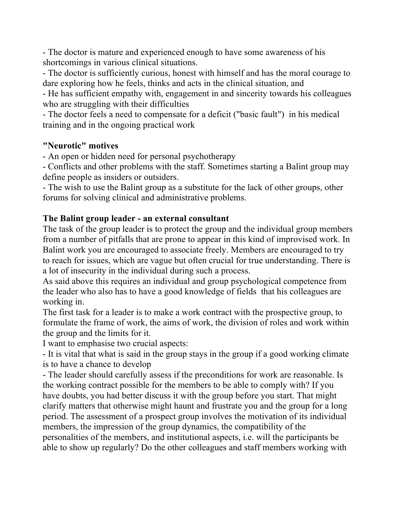- The doctor is mature and experienced enough to have some awareness of his shortcomings in various clinical situations.

- The doctor is sufficiently curious, honest with himself and has the moral courage to dare exploring how he feels, thinks and acts in the clinical situation, and

- He has sufficient empathy with, engagement in and sincerity towards his colleagues who are struggling with their difficulties

- The doctor feels a need to compensate for a deficit ("basic fault") in his medical training and in the ongoing practical work

# **"Neurotic" motives**

- An open or hidden need for personal psychotherapy

- Conflicts and other problems with the staff. Sometimes starting a Balint group may define people as insiders or outsiders.

- The wish to use the Balint group as a substitute for the lack of other groups, other forums for solving clinical and administrative problems.

# **The Balint group leader - an external consultant**

The task of the group leader is to protect the group and the individual group members from a number of pitfalls that are prone to appear in this kind of improvised work. In Balint work you are encouraged to associate freely. Members are encouraged to try to reach for issues, which are vague but often crucial for true understanding. There is a lot of insecurity in the individual during such a process.

As said above this requires an individual and group psychological competence from the leader who also has to have a good knowledge of fields that his colleagues are working in.

The first task for a leader is to make a work contract with the prospective group, to formulate the frame of work, the aims of work, the division of roles and work within the group and the limits for it.

I want to emphasise two crucial aspects:

- It is vital that what is said in the group stays in the group if a good working climate is to have a chance to develop

- The leader should carefully assess if the preconditions for work are reasonable. Is the working contract possible for the members to be able to comply with? If you have doubts, you had better discuss it with the group before you start. That might clarify matters that otherwise might haunt and frustrate you and the group for a long period. The assessment of a prospect group involves the motivation of its individual members, the impression of the group dynamics, the compatibility of the personalities of the members, and institutional aspects, i.e. will the participants be able to show up regularly? Do the other colleagues and staff members working with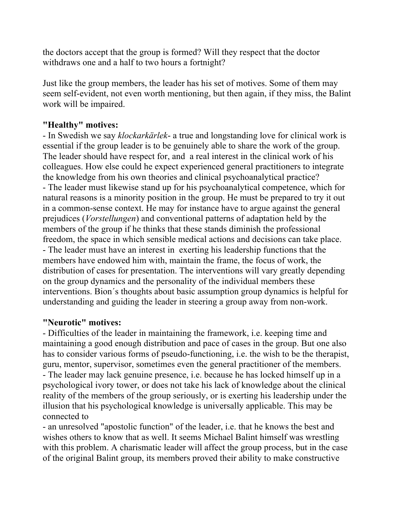the doctors accept that the group is formed? Will they respect that the doctor withdraws one and a half to two hours a fortnight?

Just like the group members, the leader has his set of motives. Some of them may seem self-evident, not even worth mentioning, but then again, if they miss, the Balint work will be impaired.

#### **"Healthy" motives:**

- In Swedish we say *klockarkärlek*- a true and longstanding love for clinical work is essential if the group leader is to be genuinely able to share the work of the group. The leader should have respect for, and a real interest in the clinical work of his colleagues. How else could he expect experienced general practitioners to integrate the knowledge from his own theories and clinical psychoanalytical practice? - The leader must likewise stand up for his psychoanalytical competence, which for natural reasons is a minority position in the group. He must be prepared to try it out in a common-sense context. He may for instance have to argue against the general prejudices (*Vorstellungen*) and conventional patterns of adaptation held by the members of the group if he thinks that these stands diminish the professional freedom, the space in which sensible medical actions and decisions can take place. - The leader must have an interest in exerting his leadership functions that the members have endowed him with, maintain the frame, the focus of work, the distribution of cases for presentation. The interventions will vary greatly depending on the group dynamics and the personality of the individual members these interventions. Bion´s thoughts about basic assumption group dynamics is helpful for understanding and guiding the leader in steering a group away from non-work.

#### **"Neurotic" motives:**

- Difficulties of the leader in maintaining the framework, i.e. keeping time and maintaining a good enough distribution and pace of cases in the group. But one also has to consider various forms of pseudo-functioning, i.e. the wish to be the therapist, guru, mentor, supervisor, sometimes even the general practitioner of the members. - The leader may lack genuine presence, i.e. because he has locked himself up in a psychological ivory tower, or does not take his lack of knowledge about the clinical reality of the members of the group seriously, or is exerting his leadership under the illusion that his psychological knowledge is universally applicable. This may be connected to

- an unresolved "apostolic function" of the leader, i.e. that he knows the best and wishes others to know that as well. It seems Michael Balint himself was wrestling with this problem. A charismatic leader will affect the group process, but in the case of the original Balint group, its members proved their ability to make constructive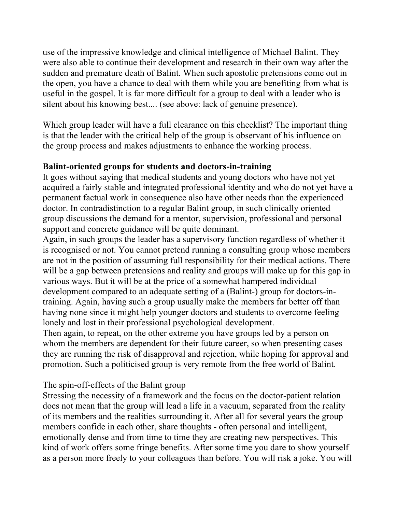use of the impressive knowledge and clinical intelligence of Michael Balint. They were also able to continue their development and research in their own way after the sudden and premature death of Balint. When such apostolic pretensions come out in the open, you have a chance to deal with them while you are benefiting from what is useful in the gospel. It is far more difficult for a group to deal with a leader who is silent about his knowing best.... (see above: lack of genuine presence).

Which group leader will have a full clearance on this checklist? The important thing is that the leader with the critical help of the group is observant of his influence on the group process and makes adjustments to enhance the working process.

#### **Balint-oriented groups for students and doctors-in-training**

It goes without saying that medical students and young doctors who have not yet acquired a fairly stable and integrated professional identity and who do not yet have a permanent factual work in consequence also have other needs than the experienced doctor. In contradistinction to a regular Balint group, in such clinically oriented group discussions the demand for a mentor, supervision, professional and personal support and concrete guidance will be quite dominant.

Again, in such groups the leader has a supervisory function regardless of whether it is recognised or not. You cannot pretend running a consulting group whose members are not in the position of assuming full responsibility for their medical actions. There will be a gap between pretensions and reality and groups will make up for this gap in various ways. But it will be at the price of a somewhat hampered individual development compared to an adequate setting of a (Balint-) group for doctors-intraining. Again, having such a group usually make the members far better off than having none since it might help younger doctors and students to overcome feeling lonely and lost in their professional psychological development.

Then again, to repeat, on the other extreme you have groups led by a person on whom the members are dependent for their future career, so when presenting cases they are running the risk of disapproval and rejection, while hoping for approval and promotion. Such a politicised group is very remote from the free world of Balint.

#### The spin-off-effects of the Balint group

Stressing the necessity of a framework and the focus on the doctor-patient relation does not mean that the group will lead a life in a vacuum, separated from the reality of its members and the realities surrounding it. After all for several years the group members confide in each other, share thoughts - often personal and intelligent, emotionally dense and from time to time they are creating new perspectives. This kind of work offers some fringe benefits. After some time you dare to show yourself as a person more freely to your colleagues than before. You will risk a joke. You will